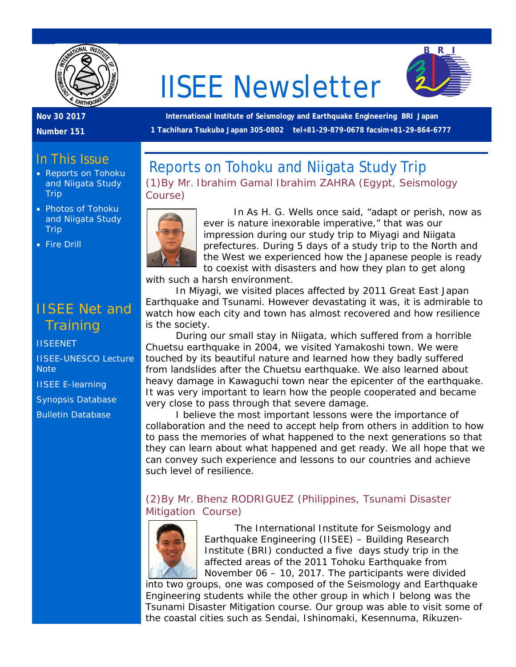

# IISEE Newsletter



#### **Nov 30 2017**

**Number 151**

**International Institute of Seismology and Earthquake Engineering BRI Japan 1 Tachihara Tsukuba Japan 305-0802 tel+81-29-879-0678 facsim+81-29-864-6777**

## In This Issue

- Reports on Tohoku and Niigata Study Trip
- Photos of Tohoku and Niigata Study **Trip**
- Fire Drill

## IISEE Net and **Training**

#### **[IISEENET](http://iisee.kenken.go.jp/net/)**

[IISEE-UNESCO Lecture](http://iisee/lna/)  **[Note](http://iisee/lna/)** 

[IISEE E-learning](http://iisee/el/) [Synopsis Database](http://iisee/syndb/)

[Bulletin Database](http://iisee/bltndb/)

## Reports on Tohoku and Niigata Study Trip *(1)By Mr. Ibrahim Gamal Ibrahim ZAHRA (Egypt, Seismology Course)*



In As H. G. Wells once said, "adapt or perish, now as ever is nature inexorable imperative," that was our impression during our study trip to Miyagi and Niigata prefectures. During 5 days of a study trip to the North and the West we experienced how the Japanese people is ready to coexist with disasters and how they plan to get along

with such a harsh environment.

In Miyagi, we visited places affected by 2011 Great East Japan Earthquake and Tsunami. However devastating it was, it is admirable to watch how each city and town has almost recovered and how resilience is the society.

During our small stay in Niigata, which suffered from a horrible Chuetsu earthquake in 2004, we visited Yamakoshi town. We were touched by its beautiful nature and learned how they badly suffered from landslides after the Chuetsu earthquake. We also learned about heavy damage in Kawaguchi town near the epicenter of the earthquake. It was very important to learn how the people cooperated and became very close to pass through that severe damage.

I believe the most important lessons were the importance of collaboration and the need to accept help from others in addition to how to pass the memories of what happened to the next generations so that they can learn about what happened and get ready. We all hope that we can convey such experience and lessons to our countries and achieve such level of resilience.

#### *(2)By Mr. Bhenz RODRIGUEZ (Philippines, Tsunami Disaster Mitigation Course)*



The International Institute for Seismology and Earthquake Engineering (IISEE) – Building Research Institute (BRI) conducted a five days study trip in the affected areas of the 2011 Tohoku Earthquake from November 06 – 10, 2017. The participants were divided

into two groups, one was composed of the Seismology and Earthquake Engineering students while the other group in which I belong was the Tsunami Disaster Mitigation course. Our group was able to visit some of the coastal cities such as Sendai, Ishinomaki, Kesennuma, Rikuzen-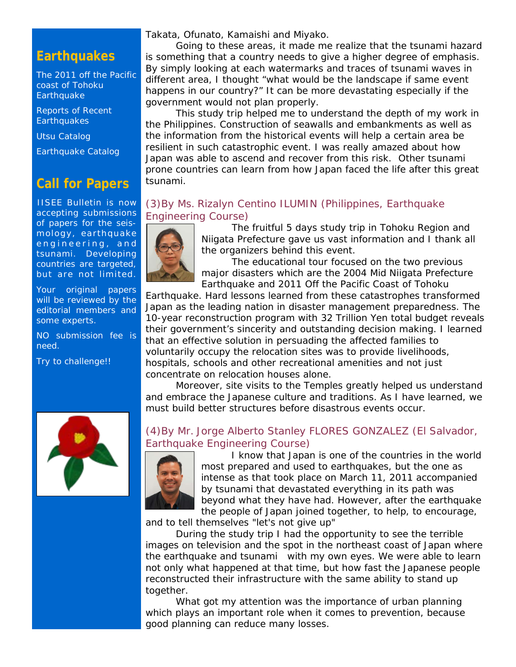## **Earthquakes**

[The 2011 off the Pacific](http://iisee/special2/20110311tohoku.htm)  [coast of Tohoku](http://iisee/special2/20110311tohoku.htm)  **[Earthquake](http://iisee/special2/20110311tohoku.htm)** 

[Reports of Recent](http://iisee/quakes.htm)  **[Earthquakes](http://iisee/quakes.htm)** 

[Utsu Catalog](http://iisee/utsu/index_eng.html)

[Earthquake Catalog](http://iisee/eqcat/Top_page_en.htm)

## **Call for Papers**

IISEE Bulletin is now accepting submissions of papers for the seismology, earthquake engineering, and tsunami. Developing countries are targeted, but are not limited.

Your original papers will be reviewed by the editorial members and some experts.

NO submission fee is need.

Try to challenge!!



Going to these areas, it made me realize that the tsunami hazard is something that a country needs to give a higher degree of emphasis. By simply looking at each watermarks and traces of tsunami waves in different area, I thought "what would be the landscape if same event happens in our country?" It can be more devastating especially if the government would not plan properly.

This study trip helped me to understand the depth of my work in the Philippines. Construction of seawalls and embankments as well as the information from the historical events will help a certain area be resilient in such catastrophic event. I was really amazed about how Japan was able to ascend and recover from this risk. Other tsunami prone countries can learn from how Japan faced the life after this great tsunami.

#### *(3)By Ms. Rizalyn Centino ILUMIN (Philippines, Earthquake Engineering Course)*



The fruitful 5 days study trip in Tohoku Region and Niigata Prefecture gave us vast information and I thank all the organizers behind this event.

The educational tour focused on the two previous major disasters which are the 2004 Mid Niigata Prefecture Earthquake and 2011 Off the Pacific Coast of Tohoku

Earthquake. Hard lessons learned from these catastrophes transformed Japan as the leading nation in disaster management preparedness. The 10-year reconstruction program with 32 Trillion Yen total budget reveals their government's sincerity and outstanding decision making. I learned that an effective solution in persuading the affected families to voluntarily occupy the relocation sites was to provide livelihoods, hospitals, schools and other recreational amenities and not just concentrate on relocation houses alone.

Moreover, site visits to the Temples greatly helped us understand and embrace the Japanese culture and traditions. As I have learned, we must build better structures before disastrous events occur.

#### *(4)By Mr. Jorge Alberto Stanley FLORES GONZALEZ (El Salvador, Earthquake Engineering Course)*



I know that Japan is one of the countries in the world most prepared and used to earthquakes, but the one as intense as that took place on March 11, 2011 accompanied by tsunami that devastated everything in its path was beyond what they have had. However, after the earthquake the people of Japan joined together, to help, to encourage,

and to tell themselves "let's not give up"

During the study trip I had the opportunity to see the terrible images on television and the spot in the northeast coast of Japan where the earthquake and tsunami with my own eyes. We were able to learn not only what happened at that time, but how fast the Japanese people reconstructed their infrastructure with the same ability to stand up together.

What got my attention was the importance of urban planning which plays an important role when it comes to prevention, because good planning can reduce many losses.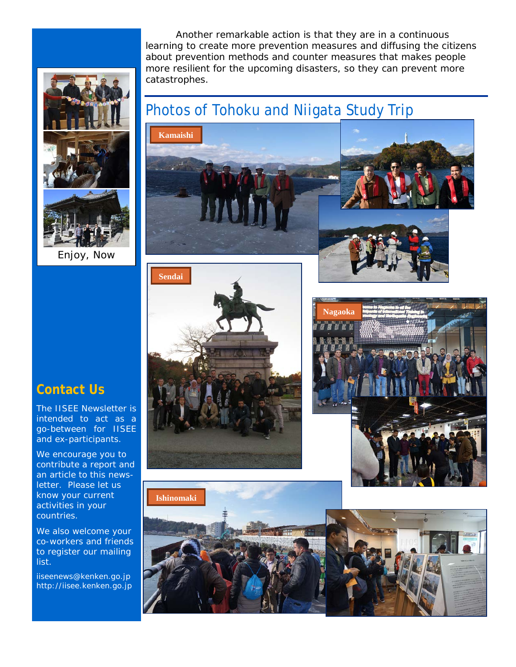Another remarkable action is that they are in a continuous learning to create more prevention measures and diffusing the citizens about prevention methods and counter measures that makes people more resilient for the upcoming disasters, so they can prevent more catastrophes.



Enjoy, Now

# Photos of Tohoku and Niigata Study Trip











## **Contact Us**

The IISEE Newsletter is intended to act as a go-between for IISEE and ex-participants.

We encourage you to contribute a report and an article to this newsletter. Please let us know your current activities in your countries.

We also welcome your co-workers and friends to register our mailing list.

iiseenews@kenken.go.jp [http://iisee.kenken.go.jp](http://iisee.kenken.go.jp/)